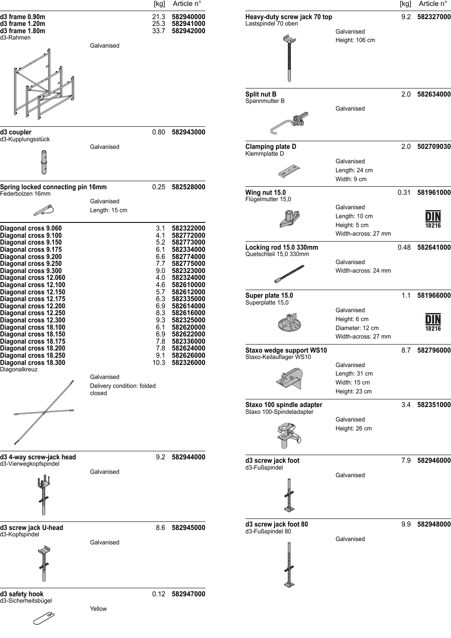

Yellow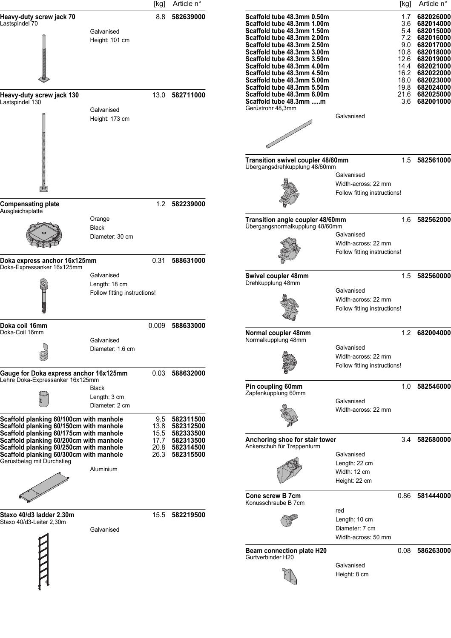|                                                                                                                                                                                                                                                                                              |                                                             | [kg]                                | Article n°                                                                      |                                                                                                                                                                                                                                              |                                                                   | $[kg]$                                     | Article n°                                                                                                     |
|----------------------------------------------------------------------------------------------------------------------------------------------------------------------------------------------------------------------------------------------------------------------------------------------|-------------------------------------------------------------|-------------------------------------|---------------------------------------------------------------------------------|----------------------------------------------------------------------------------------------------------------------------------------------------------------------------------------------------------------------------------------------|-------------------------------------------------------------------|--------------------------------------------|----------------------------------------------------------------------------------------------------------------|
| Heavy-duty screw jack 70<br>Lastspindel 70                                                                                                                                                                                                                                                   | Galvanised                                                  | 8.8                                 | 582639000                                                                       | Scaffold tube 48.3mm 0.50m<br>Scaffold tube 48.3mm 1.00m<br>Scaffold tube 48.3mm 1.50m                                                                                                                                                       |                                                                   | 1.7<br>3.6<br>5.4                          | 682026000<br>682014000<br>682015000                                                                            |
|                                                                                                                                                                                                                                                                                              | Height: 101 cm                                              |                                     |                                                                                 | Scaffold tube 48.3mm 2.00m<br>Scaffold tube 48.3mm 2.50m<br>Scaffold tube 48.3mm 3.00m<br>Scaffold tube 48.3mm 3.50m<br>Scaffold tube 48.3mm 4.00m<br>Scaffold tube 48.3mm 4.50m<br>Scaffold tube 48.3mm 5.00m<br>Scaffold tube 48.3mm 5.50m |                                                                   | 7.2<br>9.0<br>10.8<br>12.6<br>14.4<br>18.0 | 682016000<br>682017000<br>682018000<br>682019000<br>682021000<br>16.2 682022000<br>682023000<br>19.8 682024000 |
| Heavy-duty screw jack 130<br>Lastspindel 130                                                                                                                                                                                                                                                 | Galvanised                                                  |                                     | 13.0 582711000                                                                  | Scaffold tube 48.3mm 6.00m<br>Scaffold tube 48.3mm m<br>Gerüstrohr 48,3mm                                                                                                                                                                    |                                                                   | 3.6                                        | 21.6 682025000<br>682001000                                                                                    |
|                                                                                                                                                                                                                                                                                              | Height: 173 cm                                              |                                     |                                                                                 |                                                                                                                                                                                                                                              | Galvanised                                                        |                                            |                                                                                                                |
|                                                                                                                                                                                                                                                                                              |                                                             |                                     |                                                                                 | Transition swivel coupler 48/60mm<br>Übergangsdrehkupplung 48/60mm                                                                                                                                                                           | Galvanised<br>Width-across: 22 mm<br>Follow fitting instructions! |                                            | 1.5 582561000                                                                                                  |
| <b>Compensating plate</b><br>Ausgleichsplatte                                                                                                                                                                                                                                                |                                                             |                                     | 1.2 582239000                                                                   |                                                                                                                                                                                                                                              |                                                                   |                                            |                                                                                                                |
|                                                                                                                                                                                                                                                                                              | Orange<br>Black<br>Diameter: 30 cm                          |                                     |                                                                                 | Transition angle coupler 48/60mm<br>Übergangsnormalkupplung 48/60mm                                                                                                                                                                          | Galvanised<br>Width-across: 22 mm<br>Follow fitting instructions! |                                            | 1.6 582562000                                                                                                  |
| Doka express anchor 16x125mm<br>Doka-Expressanker 16x125mm                                                                                                                                                                                                                                   |                                                             | 0.31                                | 588631000                                                                       |                                                                                                                                                                                                                                              |                                                                   |                                            |                                                                                                                |
|                                                                                                                                                                                                                                                                                              | Galvanised<br>Length: 18 cm<br>Follow fitting instructions! |                                     |                                                                                 | Swivel coupler 48mm<br>Drehkupplung 48mm                                                                                                                                                                                                     | Galvanised<br>Width-across: 22 mm<br>Follow fitting instructions! | 1.5                                        | 582560000                                                                                                      |
| Doka coil 16mm<br>Doka-Coil 16mm                                                                                                                                                                                                                                                             | Galvanised<br>Diameter: 1.6 cm                              | 0.009                               | 588633000                                                                       | Normal coupler 48mm<br>Normalkupplung 48mm                                                                                                                                                                                                   | Galvanised<br>Width-across: 22 mm                                 |                                            | 1.2 682004000                                                                                                  |
| Gauge for Doka express anchor 16x125mm<br>Lehre Doka-Expressanker 16x125mm                                                                                                                                                                                                                   |                                                             | 0.03                                | 588632000                                                                       |                                                                                                                                                                                                                                              | Follow fitting instructions!                                      |                                            |                                                                                                                |
|                                                                                                                                                                                                                                                                                              | Black<br>Length: 3 cm<br>Diameter: 2 cm                     |                                     |                                                                                 | Pin coupling 60mm<br>Zapfenkupplung 60mm                                                                                                                                                                                                     | Galvanised<br>Width-across: 22 mm                                 |                                            | 1.0 582546000                                                                                                  |
| Scaffold planking 60/100cm with manhole<br>Scaffold planking 60/150cm with manhole<br>Scaffold planking 60/175cm with manhole<br>Scaffold planking 60/200cm with manhole<br>Scaffold planking 60/250cm with manhole<br>Scaffold planking 60/300cm with manhole<br>Gerüstbelag mit Durchstieg |                                                             | 9.5<br>13.8<br>17.7<br>20.8<br>26.3 | 582311500<br>582312500<br>15.5 582333500<br>582313500<br>582314500<br>582315500 | Anchoring shoe for stair tower<br>Ankerschuh für Treppenturm                                                                                                                                                                                 | Galvanised                                                        |                                            | 3.4 582680000                                                                                                  |
|                                                                                                                                                                                                                                                                                              | Aluminium                                                   |                                     |                                                                                 |                                                                                                                                                                                                                                              | Length: 22 cm<br>Width: 12 cm<br>Height: 22 cm                    |                                            |                                                                                                                |
|                                                                                                                                                                                                                                                                                              |                                                             |                                     |                                                                                 | Cone screw B 7cm<br>Konusschraube B 7cm                                                                                                                                                                                                      | red                                                               |                                            | 0.86 581444000                                                                                                 |
| Staxo 40/d3 ladder 2.30m<br>Staxo 40/d3-Leiter 2,30m                                                                                                                                                                                                                                         | Galvanised                                                  |                                     | 15.5 582219500                                                                  |                                                                                                                                                                                                                                              | Length: 10 cm<br>Diameter: 7 cm<br>Width-across: 50 mm            |                                            |                                                                                                                |
|                                                                                                                                                                                                                                                                                              |                                                             |                                     |                                                                                 | Beam connection plate H20<br>Gurtverbinder H20                                                                                                                                                                                               | Galvanised                                                        |                                            | 0.08 586263000                                                                                                 |
|                                                                                                                                                                                                                                                                                              |                                                             |                                     |                                                                                 |                                                                                                                                                                                                                                              | Height: 8 cm                                                      |                                            |                                                                                                                |
|                                                                                                                                                                                                                                                                                              |                                                             |                                     |                                                                                 |                                                                                                                                                                                                                                              |                                                                   |                                            |                                                                                                                |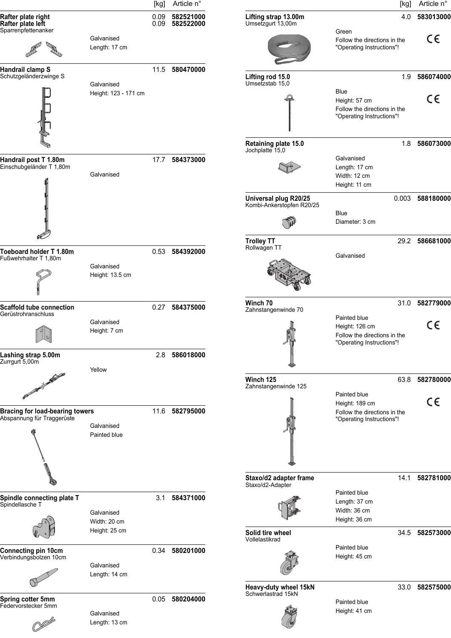